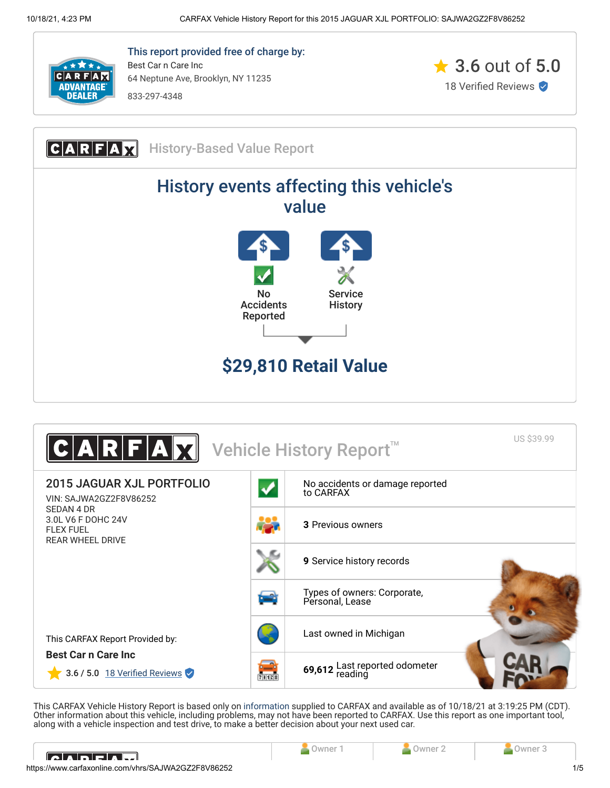

This report provided free of charge by: Best Car n Care Inc 64 Neptune Ave, Brooklyn, NY 11235 833-297-4348







This CARFAX Vehicle History Report is based only on [information](http://www.carfax.com/company/vhr-data-sources) supplied to CARFAX and available as of 10/18/21 at 3:19:25 PM (CDT). Other information about this vehicle, including problems, may not have been reported to CARFAX. Use this report as one important tool, along with a vehicle inspection and test drive, to make a better decision about your next used car.

<span id="page-0-0"></span>

| IA ADELAH                                           |  |  |  |     |
|-----------------------------------------------------|--|--|--|-----|
| https://www.carfaxonline.com/vhrs/SAJWA2GZ2F8V86252 |  |  |  | 1/5 |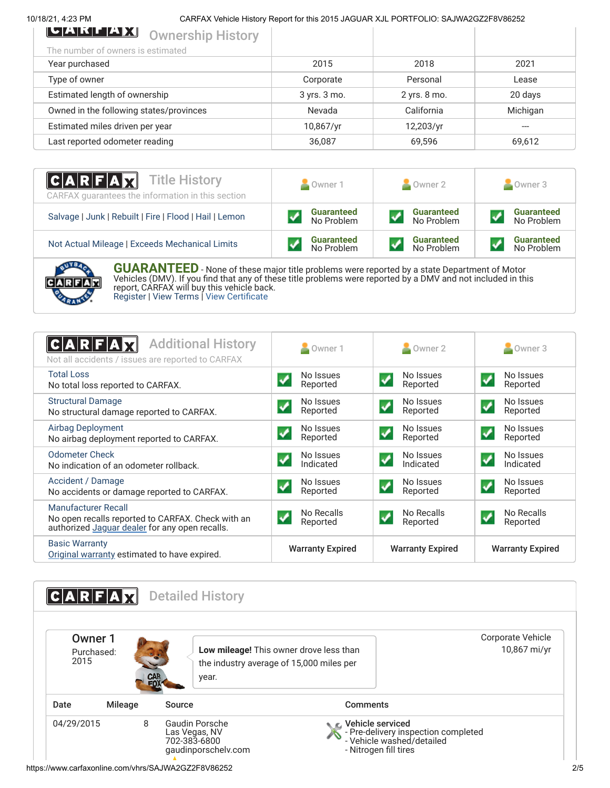10/18/21, 4:23 PM CARFAX Vehicle History Report for this 2015 JAGUAR XJL PORTFOLIO: SAJWA2GZ2F8V86252

| <b>SENTERATION</b> Ownership History    |              |              |          |
|-----------------------------------------|--------------|--------------|----------|
| The number of owners is estimated       |              |              |          |
| Year purchased                          | 2015         | 2018         | 2021     |
| Type of owner                           | Corporate    | Personal     | Lease    |
| Estimated length of ownership           | 3 yrs. 3 mo. | 2 yrs. 8 mo. | 20 days  |
| Owned in the following states/provinces | Nevada       | California   | Michigan |
| Estimated miles driven per year         | 10,867/yr    | 12,203/yr    | ---      |
| Last reported odometer reading          | 36,087       | 69,596       | 69,612   |

| <b>CARFAX</b> Title History<br>CARFAX guarantees the information in this section | Owner 1           | Owner 2           | Owner 3           |
|----------------------------------------------------------------------------------|-------------------|-------------------|-------------------|
| Salvage   Junk   Rebuilt   Fire   Flood   Hail   Lemon                           | <b>Guaranteed</b> | <b>Guaranteed</b> | <b>Guaranteed</b> |
|                                                                                  | No Problem        | No Problem        | No Problem        |
| Not Actual Mileage   Exceeds Mechanical Limits                                   | <b>Guaranteed</b> | <b>Guaranteed</b> | <b>Guaranteed</b> |
|                                                                                  | No Problem        | No Problem        | No Problem        |



**GUARANTEED** - None of these major title problems were reported by a state Department of Motor Vehicles (DMV). If you find that any of these title problems were reported by a DMV and not included in this report, CARFAX will buy this vehicle back. [Register](https://www.carfax.com/Service/bbg) | [View Terms](http://www.carfaxonline.com/legal/bbgTerms) | [View Certificate](https://www.carfaxonline.com/vhrs/SAJWA2GZ2F8V86252)

<span id="page-1-0"></span>

| <b>Additional History</b><br> C A R F A<br>Not all accidents / issues are reported to CARFAX                               | Owner 1                                           | Owner 2                                       | Owner 3                                             |
|----------------------------------------------------------------------------------------------------------------------------|---------------------------------------------------|-----------------------------------------------|-----------------------------------------------------|
| <b>Total Loss</b><br>No total loss reported to CARFAX.                                                                     | No Issues<br>$\blacklozenge$<br>Reported          | No Issues<br>$\blacktriangledown$<br>Reported | No Issues<br>$\blacktriangledown$<br>Reported       |
| <b>Structural Damage</b><br>No structural damage reported to CARFAX.                                                       | No Issues<br>Reported                             | No Issues<br>$\blacktriangledown$<br>Reported | No Issues<br>$\boldsymbol{\mathcal{L}}$<br>Reported |
| <b>Airbag Deployment</b><br>No airbag deployment reported to CARFAX.                                                       | No Issues<br>Reported                             | No Issues<br>$\checkmark$<br>Reported         | No Issues<br>$\blacktriangledown$<br>Reported       |
| Odometer Check<br>No indication of an odometer rollback.                                                                   | No Issues<br>Indicated                            | No Issues<br>✔<br>Indicated                   | No Issues<br>✔<br>Indicated                         |
| Accident / Damage<br>No accidents or damage reported to CARFAX.                                                            | No Issues<br>Reported                             | No Issues<br>$\blacktriangledown$<br>Reported | No Issues<br>$\boldsymbol{\mathcal{N}}$<br>Reported |
| Manufacturer Recall<br>No open recalls reported to CARFAX. Check with an<br>authorized Jaguar dealer for any open recalls. | No Recalls<br>$\overline{\mathbf{v}}$<br>Reported | No Recalls<br>$\checkmark$<br>Reported        | No Recalls<br>$\blacktriangledown$<br>Reported      |
| <b>Basic Warranty</b><br>Original warranty estimated to have expired.                                                      | <b>Warranty Expired</b>                           | <b>Warranty Expired</b>                       | <b>Warranty Expired</b>                             |

<span id="page-1-1"></span>

| <b>CAR</b><br>FOX                | the industry average of 15,000 miles per<br>year. |  |
|----------------------------------|---------------------------------------------------|--|
| <b>Mileage</b><br>Date<br>Source | <b>Comments</b>                                   |  |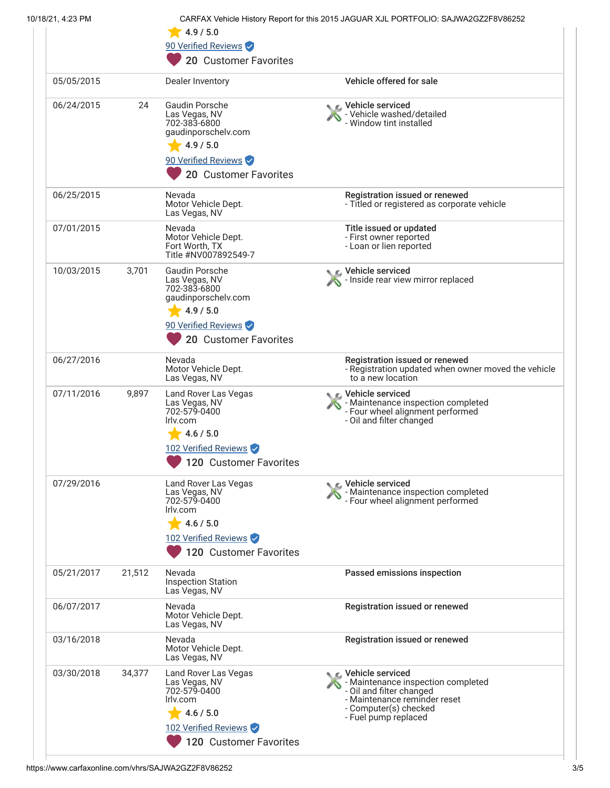| 10/18/21, 4:23 PM |        | 4.9 / 5.0                                                                                                                                  | CARFAX Vehicle History Report for this 2015 JAGUAR XJL PORTFOLIO: SAJWA2GZ2F8V86252                                                                                 |
|-------------------|--------|--------------------------------------------------------------------------------------------------------------------------------------------|---------------------------------------------------------------------------------------------------------------------------------------------------------------------|
|                   |        | 90 Verified Reviews                                                                                                                        |                                                                                                                                                                     |
|                   |        | 20 Customer Favorites                                                                                                                      |                                                                                                                                                                     |
| 05/05/2015        |        | Dealer Inventory                                                                                                                           | Vehicle offered for sale                                                                                                                                            |
| 06/24/2015        | 24     | <b>Gaudin Porsche</b><br>Las Vegas, NV<br>702-383-6800<br>gaudinporschelv.com<br>4.9 / 5.0<br>90 Verified Reviews<br>20 Customer Favorites | Vehicle serviced<br>- Vehicle washed/detailed<br>- Window tint installed                                                                                            |
| 06/25/2015        |        | Nevada<br>Motor Vehicle Dept.<br>Las Vegas, NV                                                                                             | Registration issued or renewed<br>- Titled or registered as corporate vehicle                                                                                       |
| 07/01/2015        |        | Nevada<br>Motor Vehicle Dept.<br>Fort Worth, TX<br>Title #NV007892549-7                                                                    | Title issued or updated<br>- First owner reported<br>- Loan or lien reported                                                                                        |
| 10/03/2015        | 3,701  | <b>Gaudin Porsche</b><br>Las Vegas, NV<br>702-383-6800<br>gaudinporschelv.com<br>4.9 / 5.0<br>90 Verified Reviews<br>20 Customer Favorites | Vehicle serviced<br>- Inside rear view mirror replaced                                                                                                              |
| 06/27/2016        |        | Nevada<br>Motor Vehicle Dept.<br>Las Vegas, NV                                                                                             | Registration issued or renewed<br>- Registration updated when owner moved the vehicle<br>to a new location                                                          |
| 07/11/2016        | 9,897  | Land Rover Las Vegas<br>Las Vegas, NV<br>702-579-0400<br>Irly.com<br>4.6 / 5.0<br>102 Verified Reviews<br>120 Customer Favorites           | C Vehicle serviced<br>- Maintenance inspection completed<br>- Four wheel alignment performed<br>- Oil and filter changed                                            |
| 07/29/2016        |        | Land Rover Las Vegas<br>Las Vegas, NV<br>702-579-0400<br>Irlv.com<br>4.6 / 5.0<br>102 Verified Reviews<br>120 Customer Favorites           | Vehicle serviced<br>- Maintenance inspection completed<br>- Four wheel alignment performed                                                                          |
| 05/21/2017        | 21,512 | Nevada<br><b>Inspection Station</b><br>Las Vegas, NV                                                                                       | Passed emissions inspection                                                                                                                                         |
| 06/07/2017        |        | Nevada<br>Motor Vehicle Dept.<br>Las Vegas, NV                                                                                             | Registration issued or renewed                                                                                                                                      |
| 03/16/2018        |        | Nevada<br>Motor Vehicle Dept.<br>Las Vegas, NV                                                                                             | Registration issued or renewed                                                                                                                                      |
| 03/30/2018        | 34,377 | Land Rover Las Vegas<br>Las Vegas, NV<br>702-579-0400<br>Irly.com<br>4.6 / 5.0<br>102 Verified Reviews<br>120 Customer Favorites           | Vehicle serviced<br>- Maintenance inspection completed<br>- Oil and filter changed<br>- Maintenance reminder reset<br>- Computer(s) checked<br>- Fuel pump replaced |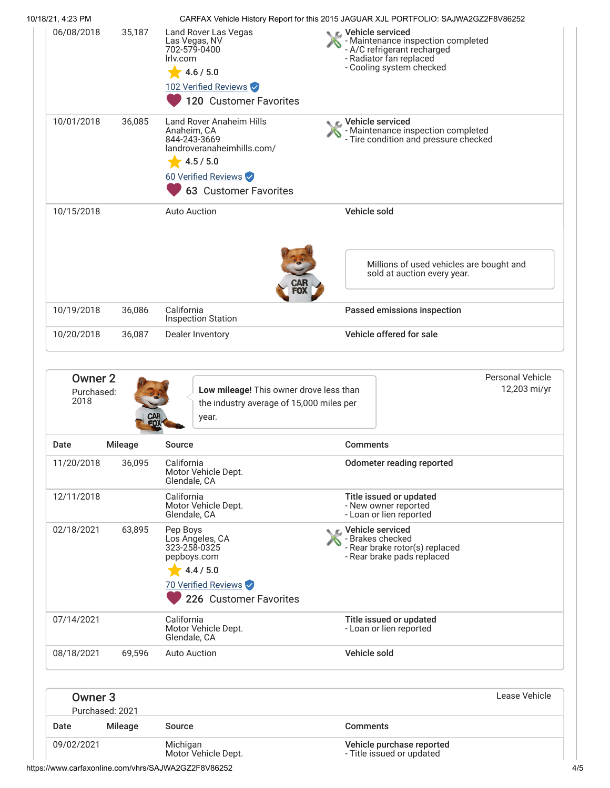| 10/18/21, 4:23 PM                    |                |                                                                                                                                                    | CARFAX Vehicle History Report for this 2015 JAGUAR XJL PORTFOLIO: SAJWA2GZ2F8V86252                                                          |  |
|--------------------------------------|----------------|----------------------------------------------------------------------------------------------------------------------------------------------------|----------------------------------------------------------------------------------------------------------------------------------------------|--|
| 06/08/2018                           | 35,187         | Land Rover Las Vegas<br>Las Vegas, NV<br>702-579-0400<br>Irly.com<br>4.6 / 5.0<br>102 Verified Reviews<br>120 Customer Favorites                   | Vehicle serviced<br>- Maintenance inspection completed<br>- A/C refrigerant recharged<br>- Radiator fan replaced<br>- Cooling system checked |  |
| 10/01/2018                           | 36,085         | Land Rover Anaheim Hills<br>Anaheim, CA<br>844-243-3669<br>landroveranaheimhills.com/<br>4.5 / 5.0<br>60 Verified Reviews<br>63 Customer Favorites | Vehicle serviced<br>- Maintenance inspection completed<br>- Tire condition and pressure checked                                              |  |
| 10/15/2018                           |                | <b>Auto Auction</b>                                                                                                                                | Vehicle sold                                                                                                                                 |  |
|                                      |                |                                                                                                                                                    | Millions of used vehicles are bought and<br>sold at auction every year.                                                                      |  |
| 10/19/2018                           | 36,086         | California<br><b>Inspection Station</b>                                                                                                            | Passed emissions inspection                                                                                                                  |  |
| 10/20/2018                           | 36,087         | Dealer Inventory                                                                                                                                   | Vehicle offered for sale                                                                                                                     |  |
| <b>Owner 2</b><br>Purchased:<br>2018 |                | Low mileage! This owner drove less than<br>the industry average of 15,000 miles per<br>year.                                                       | <b>Personal Vehicle</b><br>12,203 mi/yr                                                                                                      |  |
| Date                                 | <b>Mileage</b> | <b>Source</b>                                                                                                                                      | <b>Comments</b>                                                                                                                              |  |
| 11/20/2018                           | 36,095         | California<br>Motor Vehicle Dept.<br>Glendale, CA                                                                                                  | <b>Odometer reading reported</b>                                                                                                             |  |
| 12/11/2018                           |                | California<br>Motor Vehicle Dept.<br>Glendale, CA                                                                                                  | Title issued or updated<br>- New owner reported<br>- Loan or lien reported                                                                   |  |
| 02/18/2021                           | 63,895         | Pep Boys<br>Los Angeles, CA<br>323-258-0325<br>pepboys.com                                                                                         | C Vehicle serviced<br>- Brakes checked<br>- Rear brake rotor(s) replaced<br>- Rear brake pads replaced                                       |  |

4.4 / 5.0 70 Verified Reviews <sup>226</sup> Customer Favorites

| 07/14/2021 |        | California<br>Motor Vehicle Dept.<br>Glendale, CA | Title issued or updated<br>- Loan or lien reported |
|------------|--------|---------------------------------------------------|----------------------------------------------------|
| 08/18/2021 | 69.596 | Auto Auction                                      | Vehicle sold                                       |

|            | Owner 3         |                                 |                                                        | Lease Vehicle |
|------------|-----------------|---------------------------------|--------------------------------------------------------|---------------|
|            | Purchased: 2021 |                                 |                                                        |               |
| Date       | Mileage         | Source                          | <b>Comments</b>                                        |               |
| 09/02/2021 |                 | Michigan<br>Motor Vehicle Dept. | Vehicle purchase reported<br>- Title issued or updated |               |